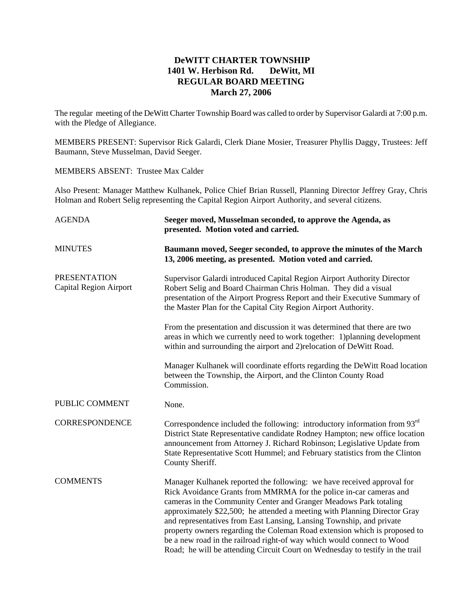## **DeWITT CHARTER TOWNSHIP 1401 W. Herbison Rd. DeWitt, MI REGULAR BOARD MEETING March 27, 2006**

The regular meeting of the DeWitt Charter Township Board was called to order by Supervisor Galardi at 7:00 p.m. with the Pledge of Allegiance.

MEMBERS PRESENT: Supervisor Rick Galardi, Clerk Diane Mosier, Treasurer Phyllis Daggy, Trustees: Jeff Baumann, Steve Musselman, David Seeger.

MEMBERS ABSENT: Trustee Max Calder

Also Present: Manager Matthew Kulhanek, Police Chief Brian Russell, Planning Director Jeffrey Gray, Chris Holman and Robert Selig representing the Capital Region Airport Authority, and several citizens.

| <b>AGENDA</b>                                        | Seeger moved, Musselman seconded, to approve the Agenda, as<br>presented. Motion voted and carried.                                                                                                                                                                                                                                                                                                                                                                                                                                                                                                            |
|------------------------------------------------------|----------------------------------------------------------------------------------------------------------------------------------------------------------------------------------------------------------------------------------------------------------------------------------------------------------------------------------------------------------------------------------------------------------------------------------------------------------------------------------------------------------------------------------------------------------------------------------------------------------------|
| <b>MINUTES</b>                                       | Baumann moved, Seeger seconded, to approve the minutes of the March<br>13, 2006 meeting, as presented. Motion voted and carried.                                                                                                                                                                                                                                                                                                                                                                                                                                                                               |
| <b>PRESENTATION</b><br><b>Capital Region Airport</b> | Supervisor Galardi introduced Capital Region Airport Authority Director<br>Robert Selig and Board Chairman Chris Holman. They did a visual<br>presentation of the Airport Progress Report and their Executive Summary of<br>the Master Plan for the Capital City Region Airport Authority.                                                                                                                                                                                                                                                                                                                     |
|                                                      | From the presentation and discussion it was determined that there are two<br>areas in which we currently need to work together: 1) planning development<br>within and surrounding the airport and 2) relocation of DeWitt Road.                                                                                                                                                                                                                                                                                                                                                                                |
|                                                      | Manager Kulhanek will coordinate efforts regarding the DeWitt Road location<br>between the Township, the Airport, and the Clinton County Road<br>Commission.                                                                                                                                                                                                                                                                                                                                                                                                                                                   |
| PUBLIC COMMENT                                       | None.                                                                                                                                                                                                                                                                                                                                                                                                                                                                                                                                                                                                          |
| <b>CORRESPONDENCE</b>                                | Correspondence included the following: introductory information from 93rd<br>District State Representative candidate Rodney Hampton; new office location<br>announcement from Attorney J. Richard Robinson; Legislative Update from<br>State Representative Scott Hummel; and February statistics from the Clinton<br>County Sheriff.                                                                                                                                                                                                                                                                          |
| <b>COMMENTS</b>                                      | Manager Kulhanek reported the following: we have received approval for<br>Rick Avoidance Grants from MMRMA for the police in-car cameras and<br>cameras in the Community Center and Granger Meadows Park totaling<br>approximately \$22,500; he attended a meeting with Planning Director Gray<br>and representatives from East Lansing, Lansing Township, and private<br>property owners regarding the Coleman Road extension which is proposed to<br>be a new road in the railroad right-of way which would connect to Wood<br>Road; he will be attending Circuit Court on Wednesday to testify in the trail |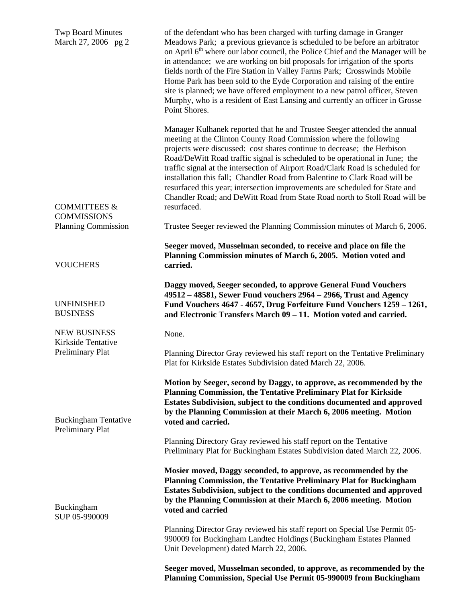| <b>Twp Board Minutes</b><br>March 27, 2006 pg 2 | of the defendant who has been charged with turfing damage in Granger<br>Meadows Park; a previous grievance is scheduled to be before an arbitrator<br>on April 6 <sup>th</sup> where our labor council, the Police Chief and the Manager will be<br>in attendance; we are working on bid proposals for irrigation of the sports<br>fields north of the Fire Station in Valley Farms Park; Crosswinds Mobile<br>Home Park has been sold to the Eyde Corporation and raising of the entire<br>site is planned; we have offered employment to a new patrol officer, Steven<br>Murphy, who is a resident of East Lansing and currently an officer in Grosse<br>Point Shores. |
|-------------------------------------------------|--------------------------------------------------------------------------------------------------------------------------------------------------------------------------------------------------------------------------------------------------------------------------------------------------------------------------------------------------------------------------------------------------------------------------------------------------------------------------------------------------------------------------------------------------------------------------------------------------------------------------------------------------------------------------|
| <b>COMMITTEES &amp;</b><br><b>COMMISSIONS</b>   | Manager Kulhanek reported that he and Trustee Seeger attended the annual<br>meeting at the Clinton County Road Commission where the following<br>projects were discussed: cost shares continue to decrease; the Herbison<br>Road/DeWitt Road traffic signal is scheduled to be operational in June; the<br>traffic signal at the intersection of Airport Road/Clark Road is scheduled for<br>installation this fall; Chandler Road from Balentine to Clark Road will be<br>resurfaced this year; intersection improvements are scheduled for State and<br>Chandler Road; and DeWitt Road from State Road north to Stoll Road will be<br>resurfaced.                      |
| <b>Planning Commission</b>                      | Trustee Seeger reviewed the Planning Commission minutes of March 6, 2006.                                                                                                                                                                                                                                                                                                                                                                                                                                                                                                                                                                                                |
| <b>VOUCHERS</b>                                 | Seeger moved, Musselman seconded, to receive and place on file the<br>Planning Commission minutes of March 6, 2005. Motion voted and<br>carried.                                                                                                                                                                                                                                                                                                                                                                                                                                                                                                                         |
| <b>UNFINISHED</b><br><b>BUSINESS</b>            | Daggy moved, Seeger seconded, to approve General Fund Vouchers<br>49512 - 48581, Sewer Fund vouchers 2964 - 2966, Trust and Agency<br>Fund Vouchers 4647 - 4657, Drug Forfeiture Fund Vouchers 1259 - 1261,<br>and Electronic Transfers March 09 – 11. Motion voted and carried.                                                                                                                                                                                                                                                                                                                                                                                         |
| <b>NEW BUSINESS</b><br>Kirkside Tentative       | None.                                                                                                                                                                                                                                                                                                                                                                                                                                                                                                                                                                                                                                                                    |
| Preliminary Plat                                | Planning Director Gray reviewed his staff report on the Tentative Preliminary<br>Plat for Kirkside Estates Subdivision dated March 22, 2006.                                                                                                                                                                                                                                                                                                                                                                                                                                                                                                                             |
| <b>Buckingham Tentative</b><br>Preliminary Plat | Motion by Seeger, second by Daggy, to approve, as recommended by the<br>Planning Commission, the Tentative Preliminary Plat for Kirkside<br>Estates Subdivision, subject to the conditions documented and approved<br>by the Planning Commission at their March 6, 2006 meeting. Motion<br>voted and carried.                                                                                                                                                                                                                                                                                                                                                            |
|                                                 | Planning Directory Gray reviewed his staff report on the Tentative<br>Preliminary Plat for Buckingham Estates Subdivision dated March 22, 2006.                                                                                                                                                                                                                                                                                                                                                                                                                                                                                                                          |
| Buckingham<br>SUP 05-990009                     | Mosier moved, Daggy seconded, to approve, as recommended by the<br>Planning Commission, the Tentative Preliminary Plat for Buckingham<br>Estates Subdivision, subject to the conditions documented and approved<br>by the Planning Commission at their March 6, 2006 meeting. Motion<br>voted and carried                                                                                                                                                                                                                                                                                                                                                                |
|                                                 | Planning Director Gray reviewed his staff report on Special Use Permit 05-<br>990009 for Buckingham Landtec Holdings (Buckingham Estates Planned<br>Unit Development) dated March 22, 2006.                                                                                                                                                                                                                                                                                                                                                                                                                                                                              |
|                                                 | Seeger moved, Musselman seconded, to approve, as recommended by the<br>Planning Commission, Special Use Permit 05-990009 from Buckingham                                                                                                                                                                                                                                                                                                                                                                                                                                                                                                                                 |